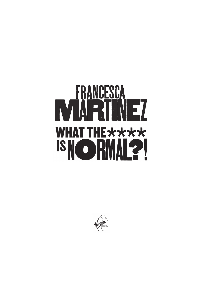# **ERANCESCA**<br>
MARTINEZ WHAT THE \*\*\*\* IS NO RMAL?

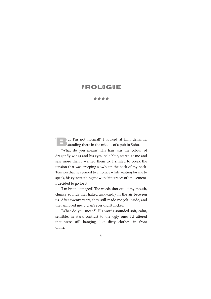# PROLOGUE

# \*\*\*\*

 $\blacksquare$  <br> In not normal!' I looked at him defiantly, standing there in the middle of a pub in Soho.

 $\ddot{\phantom{0}}$ 

 'What do you mean?' His hair was the colour of dragonfly wings and his eyes, pale blue, stared at me and saw more than I wanted them to. I smiled to break the tension that was creeping slowly up the back of my neck. Tension that he seemed to embrace while waiting for me to speak, his eyes watching me with faint traces of amusement. I decided to go for it.

'I'm brain damaged.' The words shot out of my mouth, clumsy sounds that halted awkwardly in the air between us. After twenty years, they still made me jolt inside, and that annoyed me. Dylan's eyes didn't flicker.

'What do you mean?' His words sounded soft, calm, sensible, in stark contrast to the ugly ones I'd uttered that were still hanging, like dirty clothes, in front of me.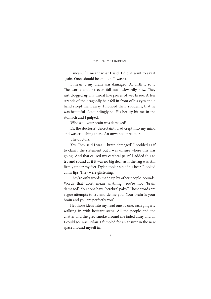'I mean…' I meant what I said. I didn't want to say it again. Once should be enough. It wasn't.

 'I mean… my brain was damaged. At birth… so…' The words couldn't even fall out awkwardly now. They just clogged up my throat like pieces of wet tissue. A few strands of the dragonfly hair fell in front of his eyes and a hand swept them away. I noticed then, suddenly, that he was beautiful. Astoundingly so. His beauty hit me in the stomach and I gulped.

'Who said your brain was damaged?'

 'Er, the doctors?' Uncertainty had crept into my mind and was crouching there. An unwanted predator.

'The doctors.'

'Yes. They said I was... brain damaged.' I nodded as if to clarify the statement but I was unsure where this was going. 'And that caused my cerebral palsy.' I added this to try and sound as if it was no big deal, as if the rug was still firmly under my feet. Dylan took a sip of his beer. I looked at his lips. They were glistening.

'They're only words made up by other people. Sounds. Words that don't mean anything. You're not "brain damaged". You don't have "cerebral palsy". Those words are vague attempts to try and define you. Your brain is your brain and you are perfectly you.'

 I let those ideas into my head one by one, each gingerly walking in with hesitant steps. All the people and the chatter and the grey smoke around me faded away and all I could see was Dylan. I fumbled for an answer in the new space I found myself in.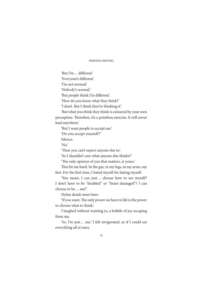'But I'm... different.'

'Everyone's different.'

'I'm not normal.'

'Nobody's normal.'

'But people think I'm different.'

'How do you know what they think?'

'I don't. But I think they're thinking it.'

 'But what you think they think is coloured by your own perception. Therefore, it's a pointless exercise. It will never lead anywhere.'

'But I want people to accept me.'

'Do you accept yourself?'

Silence.

'No.

'Then you can't expect anyone else to.'

'So I shouldn't care what anyone else thinks?'

'The only opinion of you that matters, is yours.'

This hit me hard. In the gut, in my legs, in my arms, my feet. For the first time, I hated myself for hating myself.

 'You mean, I can just… choose how to see myself? I don't have to be "disabled" or "brain damaged"? I can choose to be… me?'

Dylan drank more beer.

'If you want. The only power we have in life is the power to choose what to think.'

 I laughed without wanting to, a bubble of joy escaping from me.

 'So, I'm just… me.' I felt invigorated, as if I could see everything all at once.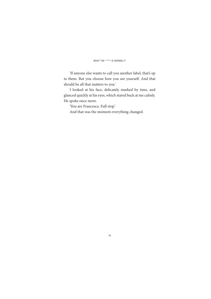'If anyone else wants to call you another label, that's up to them. But you choose how you see yourself. And that should be all that matters to you.'

 I looked at his face, delicately marked by time, and glanced quickly at his eyes, which stared back at me calmly. He spoke once more.

'You are Francesca. Full stop.'

And that was the moment everything changed.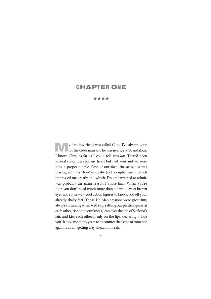# CHAPTER ONE

\*\*\*\*

We first boyfriend was called Clint. I've always gone for the older man and he was nearly six. Scandalous, I know. Clint, as far as I could tell, was *hot*. There'd been several contenders for my heart but he'd won and we were now a proper couple. One of our favourite activities was playing with his He-Man Castle (not a euphemism), which impressed me greatly and which, I'm embarrassed to admit, was probably the main reason I chose him. When you're four, you don't need much more than a pair of sweet brown eyes and some way-cool action figures to knock you off your already shaky feet. Those He-Man sessions were great fun, always climaxing when we'd stop rattling our plastic figures at each other, rise on to our knees, lean over the top of Skeletor's lair, and kiss each other firmly on the lips, declaring 'I love you.' It took me many years to encounter that kind of romance again. But I'm getting way ahead of myself.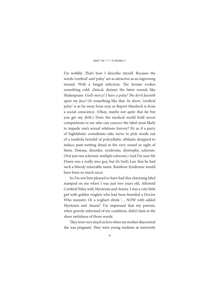I'm wobbly. That's how I describe myself. Because the words 'cerebral' and 'palsy' are as attractive as an ingrowing toenail. With a fungal infection. The former evokes something cold, clinical, distant; the latter sounds like Shakespeare: *God's mercy! I have a palsy! The devil feasteth upon my face!* Or something like that. In short, 'cerebral palsy' is as far away from sexy as Rupert Murdoch is from a social conscience. (Okay, maybe not quite *that* far but you get my drift.) Does the medical world hold secret competitions to see who can concoct the label most likely to impede one's sexual relations forever? It's as if a party of highfalutin consultants take turns to pick words out of a tombola brimful of polysyllabic sibilants designed to induce pant-wetting dread at the very sound or sight of them. Disease, disorder, syndrome, dystrophy, sclerosis. (Not just one sclerosis: *multiple* sclerosis.) And I'm sure Mr Down was a really nice guy, but it's Sod's Law that he had such a bloody miserable name. Rainbow Syndrome would have been so much nicer.

 So I'm not best pleased to have had this charming label stamped on me when I was just two years old. Athetoid Cerebral Palsy with Myotonia and Ataxia. I was a cute little girl with golden ringlets who had been branded a Doctor Who monster. Or a yoghurt drink '… NOW with added Myotonia and Ataxia!' I'm impressed that my parents, when gravely informed of my condition, didn't faint at the sheer awfulness of those words.

They were very much in love when my mother discovered she was pregnant. They were young students at university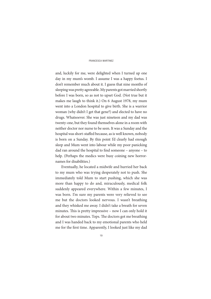and, luckily for me, were delighted when I turned up one day in my mum's womb. I assume I was a happy foetus. I don't remember much about it. I guess that nine months of sleeping was pretty agreeable. My parents got married shortly before I was born, so as not to upset God. (Not true but it makes me laugh to think it.) On 6 August 1978, my mum went into a London hospital to give birth. She is a warrior woman (why didn't I get that gene?) and elected to have no drugs. Whatsoever. She was just nineteen and my dad was twenty-one, but they found themselves alone in a room with neither doctor nor nurse to be seen. It was a Sunday and the hospital was short-staffed because, as is well known, nobody is born on a Sunday. By this point I'd clearly had enough sleep and Mum went into labour while my poor panicking dad ran around the hospital to find someone – anyone – to help. (Perhaps the medics were busy coining new horrornames for disabilities.)

 Eventually, he located a midwife and hurried her back to my mum who was trying desperately not to push. She immediately told Mum to start pushing, which she was more than happy to do and, miraculously, medical folk suddenly appeared everywhere. Within a few minutes, I was born. I'm sure my parents were very relieved to see me but the doctors looked nervous. I wasn't breathing and they whisked me away. I didn't take a breath for seven minutes. This is pretty impressive – now I can only hold it for about two minutes. Tops. The doctors got me breathing and I was handed back to my emotional parents who held me for the first time. Apparently, I looked just like my dad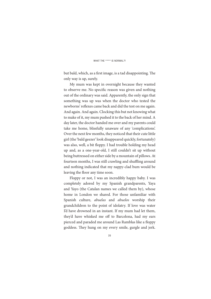but bald, which, as a first image, is a tad disappointing. The only way is up, surely.

 My mum was kept in overnight because they wanted to observe me. No specific reason was given and nothing out of the ordinary was said. Apparently, the only sign that something was up was when the doctor who tested the newborns' reflexes came back and did the test on me again. And again. And again. Clocking this but not knowing what to make of it, my mum pushed it to the back of her mind. A day later, the doctor handed me over and my parents could take me home, blissfully unaware of any 'complications'. Over the next few months, they noticed that their cute little girl (the 'bald geezer' look disappeared quickly, fortunately) was also, well, a bit floppy. I had trouble holding my head up and, as a one-year-old, I still couldn't sit up without being buttressed on either side by a mountain of pillows. At fourteen months, I was still crawling and shuffling around and nothing indicated that my nappy-clad bum would be leaving the floor any time soon.

 Floppy or not, I was an incredibly happy baby. I was completely adored by my Spanish grandparents, Yaya and Yayo (the Catalan names we called them by), whose home in London we shared. For those unfamiliar with Spanish culture, *abuelas* and *abuelos* worship their grandchildren to the point of idolatry. If love was water I'd have drowned in an instant. If my mum had let them, they'd have whisked me off to Barcelona, had my ears pierced and paraded me around Las Ramblas like a floppy goddess. They hung on my every smile, gurgle and jerk.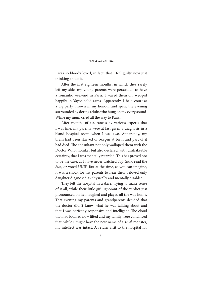I was so bloody loved, in fact, that I feel guilty now just thinking about it.

After the first eighteen months, in which they rarely left my side, my young parents were persuaded to have a romantic weekend in Paris. I waved them off, wedged happily in Yayo's solid arms. Apparently, I held court at a big party thrown in my honour and spent the evening surrounded by doting adults who hung on my every sound. While my mum cried all the way to Paris.

After months of assurances by various experts that I was fine, my parents were at last given a diagnosis in a bland hospital room when I was two. Apparently, my brain had been starved of oxygen at birth and part of it had died. The consultant not only walloped them with the Doctor Who moniker but also declared, with unshakeable certainty, that I was mentally retarded. This has proved not to be the case, as I have never watched *Top Gear*, read the *Sun*, or voted UKIP. But at the time, as you can imagine, it was a shock for my parents to hear their beloved only daughter diagnosed as physically and mentally disabled.

They left the hospital in a daze, trying to make sense of it all, while their little girl, ignorant of the verdict just pronounced on her, laughed and played all the way home. That evening my parents and grandparents decided that the doctor didn't know what he was talking about and that I was perfectly responsive and intelligent. The cloud that had loomed now lifted and my family were convinced that, while I might have the new name of a sci-fi monster, my intellect was intact. A return visit to the hospital for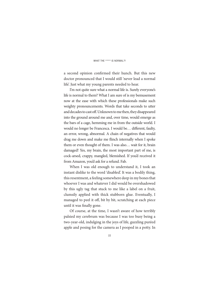a second opinion confirmed their hunch. But this new doctor pronounced that I would still 'never lead a normal life'. Just what my young parents needed to hear.

 I'm not quite sure what a normal life is. Surely everyone's life is normal to them? What I am sure of is my bemusement now at the ease with which these professionals make such weighty pronouncements. Words that take seconds to utter and decades to cast off. Unknown to me then, they disappeared into the ground around me and, over time, would emerge as the bars of a cage, hemming me in from the outside world. I would no longer be Francesca. I would be... different, faulty, an error, wrong, abnormal. A chain of negatives that would drag me down and make me flinch internally when I spoke them or even thought of them. I was also… wait for it, brain damaged! Yes, my brain, the most important part of me, is cock-arsed, crappy, mangled, blemished. If you'd received it from Amazon, you'd ask for a refund. Fab.

 When I was old enough to understand it, I took an instant dislike to the word 'disabled'. It was a bodily thing, this resentment, a feeling somewhere deep in my bones that whoever I was and whatever I did would be overshadowed by this ugly tag that stuck to me like a label on a fruit, clumsily applied with thick stubborn glue. Eventually, I managed to peel it off, bit by bit, scratching at each piece until it was finally gone.

 Of course, at the time, I wasn't aware of how terribly palsied my cerebrum was because I was too busy being a two-year-old, indulging in the joys of life, guzzling puréed apple and posing for the camera as I pooped in a potty. In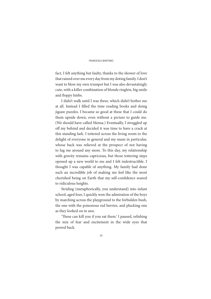fact, I felt anything but faulty, thanks to the shower of love that rained over me every day from my doting family. I don't want to blow my own trumpet but I was also devastatingly cute, with a killer combination of blonde ringlets, big smile and floppy limbs.

 I didn't walk until I was three, which didn't bother me at all. Instead I filled the time reading books and doing jigsaw puzzles. I became so good at these that I could do them upside down, even without a picture to guide me. (We should have called Mensa.) Eventually, I struggled up off my behind and decided it was time to have a crack at this standing lark. I tottered across the living room to the delight of everyone in general and my mum in particular, whose back was relieved at the prospect of not having to lug me around any more. To this day, my relationship with gravity remains capricious, but those tottering steps opened up a new world to me and I felt indestructible. I thought I was capable of anything. My family had done such an incredible job of making me feel like the most cherished being on Earth that my self-confidence soared to ridiculous heights.

 Striding (metaphorically, you understand) into infant school, aged four, I quickly won the admiration of the boys by marching across the playground to the forbidden bush, the one with the poisonous red berries, and plucking one as they looked on in awe.

'These can kill you if you eat them.' I paused, relishing the mix of fear and excitement in the wide eyes that peered back.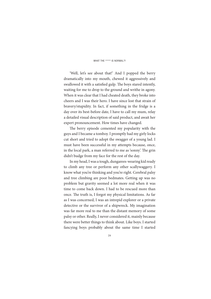'Well, let's see about that!' And I popped the berry dramatically into my mouth, chewed it aggressively and swallowed it with a satisfied gulp. The boys stared intently, waiting for me to drop to the ground and writhe in agony. When it was clear that I had cheated death, they broke into cheers and I was their hero. I have since lost that strain of bravery/stupidity. In fact, if something in the fridge is a day over its best-before date, I have to call my mum, relay a detailed visual description of said product, and await her expert pronouncement. How times have changed.

The berry episode cemented my popularity with the guys and I became a tomboy. I promptly had my girly locks cut short and tried to adopt the swagger of a young lad. I must have been successful in my attempts because, once, in the local park, a man referred to me as 'sonny'. The grin didn't budge from my face for the rest of the day.

 In my head, I was a tough, dungarees-wearing kid ready to climb any tree or perform any other scallywaggery. I know what you're thinking and you're right. Cerebral palsy and tree climbing are poor bedmates. Getting up was no problem but gravity seemed a lot more real when it was time to come back down. I had to be rescued more than once. The truth is, I forgot my physical limitations. As far as I was concerned, I was an intrepid explorer or a private detective or the survivor of a shipwreck. My imagination was far more real to me than the distant memory of some palsy or other. Really, I never considered it, mainly because there were better things to think about. Like boys. I started fancying boys probably about the same time I started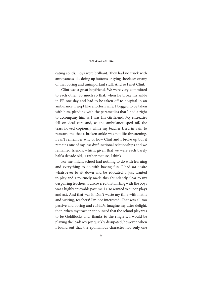eating solids. Boys were brilliant. They had no truck with annoyances like doing up buttons or tying shoelaces or any of that boring and unimportant stuff. And so I met Clint.

 Clint was a great boyfriend. We were very committed to each other. So much so that, when he broke his ankle in PE one day and had to be taken off to hospital in an ambulance, I wept like a forlorn wife. I begged to be taken with him, pleading with the paramedics that I had a right to accompany him as I was His Girlfriend. My entreaties fell on deaf ears and, as the ambulance sped off, the tears flowed copiously while my teacher tried in vain to reassure me that a broken ankle was not life threatening. I can't remember why or how Clint and I broke up but it remains one of my less dysfunctional relationships and we remained friends, which, given that we were each barely half a decade old, is rather mature, I think.

 For me, infant school had nothing to do with learning and everything to do with having fun. I had *no* desire whatsoever to sit down and be educated. I just wanted to play and I routinely made this abundantly clear to my despairing teachers. I discovered that flirting with the boys was a highly enjoyable pastime. I also wanted to put on plays and act. And that was it. Don't waste my time with maths and writing, teachers! I'm not interested. That was all too passive and boring and *rubbish*. Imagine my utter delight, then, when my teacher announced that the school play was to be Goldilocks and, thanks to the ringlets, I would be playing the lead! My joy quickly dissipated, however, when I found out that the eponymous character had only one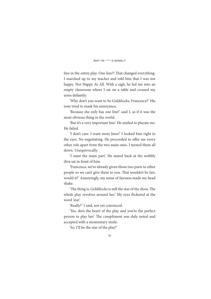line in the entire play. One line?! That changed everything. I marched up to my teacher and told him that I was not happy. Not Happy At All. With a sigh, he led me into an empty classroom where I sat on a table and crossed my arms defiantly.

 'Why don't you want to be Goldilocks, Francesca?' His tone tried to mask his annoyance.

 'Because she only has one line!' said I, as if it was the most obvious thing in the world.

 'But it's a very important line.' He smiled to placate me. He failed.

 'I don't care. I want more lines!' I looked him right in the eyes. No negotiating. He proceeded to offer me every other role apart from the two main ones. I turned them all down. Unequivocally.

 'I want the main part.' He stared back at the wobbly diva sat in front of him.

 'Francesca, we've already given those two parts to other people so we can't give them to you. That wouldn't be fair, would it?' Annoyingly, my sense of fairness made my head shake.

'The thing is, Goldilocks is still the star of the show. The whole play revolves around her.' My eyes flickered at the word 'star'.

'Really?' I said, not yet convinced.

 'Yes, she's the heart of the play and you're the perfect person to play her.' The compliment was duly noted and accepted with a momentary smile.

'So, I'll be the star of the play?'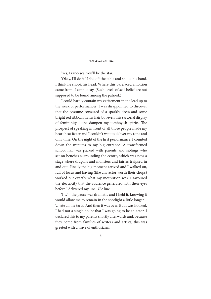'Yes, Francesca, you'll be the star.'

'Okay, I'll do it.' I slid off the table and shook his hand. I think he shook his head. Where this barefaced ambition came from, I cannot say. (Such levels of self-belief are not supposed to be found among the palsied.)

 I could hardly contain my excitement in the lead up to the week of performances. I was disappointed to discover that the costume consisted of a sparkly dress and some bright red ribbons in my hair but even this sartorial display of femininity didn't dampen my tomboyish spirits. The prospect of speaking in front of all those people made my heart beat faster and I couldn't wait to deliver my (one and only) line. On the night of the first performance, I counted down the minutes to my big entrance. A transformed school hall was packed with parents and siblings who sat on benches surrounding the centre, which was now a stage where dragons and monsters and fairies traipsed in and out. Finally the big moment arrived and I walked on, full of focus and having (like any actor worth their chops) worked out exactly what my motivation was. I savoured the electricity that the audience generated with their eyes before I delivered my line. *The line*.

 'I…' – the pause was dramatic and I held it, knowing it would allow me to remain in the spotlight a little longer – '… ate all the tarts.' And then it was over. But I was hooked. I had not a single doubt that I was going to be an actor. I declared this to my parents shortly afterwards and, because they come from families of writers and artists, this was greeted with a wave of enthusiasm.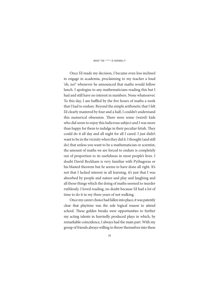Once I'd made my decision, I became even less inclined to engage in academia, proclaiming to my teacher a loud 'oh, no!' whenever he announced that maths would follow lunch. I apologise to any mathematicians reading this but I had and still have no interest in numbers. None whatsoever. To this day, I am baffled by the five hours of maths a week that I had to endure. Beyond the simple arithmetic that I felt I'd clearly mastered by four and a half, I couldn't understand this numerical obsession. There were some (weird) kids who did seem to enjoy this ludicrous subject and I was more than happy for them to indulge in their peculiar fetish. They could do it all day and all night for all I cared. I just didn't want to be in the vicinity when they did it. I thought (and still do) that unless you want to be a mathematician or scientist, the amount of maths we are forced to endure is completely out of proportion to its usefulness in most people's lives. I doubt David Beckham is very familiar with Pythagoras or his blasted theorem but *he* seems to have done all right. It's not that I lacked interest in all learning, it's just that I was absorbed by people and nature and play and laughing and all those things which the doing of maths seemed to murder ruthlessly. I loved reading, no doubt because I'd had a lot of time to do it in my three years of not walking.

 Once my career choice had fallen into place, it was patently clear that playtime was the sole logical reason to attend school. These golden breaks were opportunities to further my acting talents in hurriedly produced plays in which, by remarkable coincidence, I always had the main part. With my group of friends always willing to throw themselves into these

<sub>28</sub>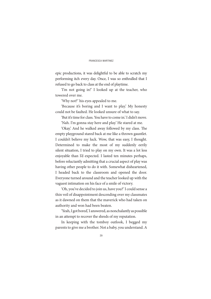epic productions, it was delightful to be able to scratch my performing itch every day. Once, I was so enthralled that I refused to go back to class at the end of playtime.

 'I'm not going in!' I looked up at the teacher, who towered over me.

'Why not?' his eyes appealed to me.

 'Because it's boring and I want to play.' My honesty could not be faulted. He looked unsure of what to say.

 'But it's time for class. You have to come in.' I didn't move. 'Nah. I'm gonna stay here and play.' He stared at me.

'Okay'. And he walked away followed by my class. The empty playground stared back at me like a thrown gauntlet. I couldn't believe my luck. Wow, that was easy, I thought. Determined to make the most of my suddenly eerily silent situation, I tried to play on my own. It was a lot less enjoyable than I'd expected. I lasted ten minutes perhaps, before reluctantly admitting that a crucial aspect of play was having other people to do it with. Somewhat disheartened, I headed back to the classroom and opened the door. Everyone turned around and the teacher looked up with the vaguest intimation on his face of a smile of victory.

 'Oh, you've decided to join us, have you?' I could sense a thin veil of disappointment descending over my classmates as it dawned on them that the maverick who had taken on authority and won had been beaten.

 'Yeah, I got bored,' I answered, as nonchalantly as possible in an attempt to recover the shreds of my reputation.

 In keeping with the tomboy outlook, I begged my parents to give me a brother. Not a baby, you understand. A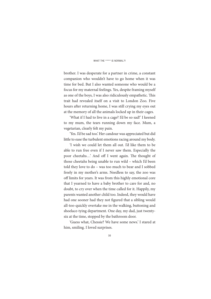brother. I was desperate for a partner in crime, a constant companion who wouldn't have to go home when it was time for bed. But I also wanted someone who would be a focus for my maternal feelings. Yes, despite framing myself as one of the boys, I was also ridiculously empathetic. This trait had revealed itself on a visit to London Zoo. Five hours after returning home, I was still crying my eyes out at the memory of all the animals locked up in their cages.

 'What if I had to live in a cage? I'd be so sad!' I keened to my mum, the tears running down my face. Mum, a vegetarian, clearly felt my pain.

 'Yes. I'd be sad too.' Her candour was appreciated but did little to ease the turbulent emotions racing around my body.

 'I wish we could let them all out. I'd like them to be able to run free even if I never saw them. Especially the poor cheetahs...' And off I went again. The thought of those cheetahs being unable to run wild – which I'd been told they love to do – was too much to bear and I sobbed freely in my mother's arms. Needless to say, the zoo was off limits for years. It was from this highly emotional core that I yearned to have a baby brother to care for and, no doubt, to cry over when the time called for it. Happily, my parents wanted another child too. Indeed, they would have had one sooner had they not figured that a sibling would all-too-quickly overtake me in the walking, buttoning and shoelace-tying department. One day, my dad, just twentysix at the time, stopped by the bathroom door.

 'Guess what, Chessie? We have some news.' I stared at him, smiling. I loved surprises.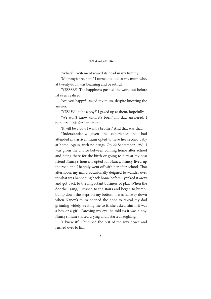'What?' Excitement reared its head in my tummy.

 'Mummy's pregnant.' I turned to look at my mum who, at twenty-four, was beaming and beautiful.

'YESSSSS!' The happiness pushed the word out before I'd even realised.

 'Are you happy?' asked my mum, despite knowing the answer.

'YES! Will it be a boy?' I gazed up at them, hopefully.

'We won't know until it's born,' my dad answered. I pondered this for a moment.

'It will be a boy. I want a brother.' And that was that.

 Understandably, given the experience that had attended my arrival, mum opted to have her second baby at home. Again, with no drugs. On 22 September 1983, I was given the choice between coming home after school and being there for the birth or going to play at my best friend Nancy's house. I opted for Nancy. Nancy lived up the road and I happily went off with her after school. That afternoon, my mind occasionally deigned to wander over to what was happening back home before I yanked it away and got back to the important business of play. When the doorbell rang, I rushed to the stairs and began to bumpbump down the steps on my bottom. I was halfway down when Nancy's mum opened the door to reveal my dad grinning widely. Beating me to it, she asked him if it was a boy or a girl. Catching my eye, he told us it was a boy. Nancy's mum started crying and I started laughing.

 'I knew it!' I bumped the rest of the way down and rushed over to him.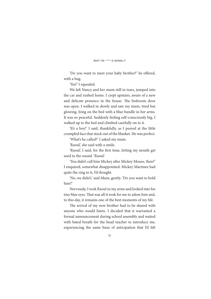'Do you want to meet your baby brother?' he offered, with a hug.

'Yes!' I squealed.

We left Nancy and her mum still in tears, jumped into the car and rushed home. I crept upstairs, aware of a new and delicate presence in the house. The bedroom door was open. I walked in slowly and saw my mum, tired but glowing, lying on the bed with a blue bundle in her arms. It was so peaceful. Suddenly feeling self-consciously big, I walked up to the bed and climbed carefully on to it.

 'It's a boy!' I said, thankfully, as I peered at the little crumpled face that stuck out of the blanket. He was perfect.

'What's he called?' I asked my mum.

'Raoul,' she said with a smile.

'Raoul,' I said, for the first time, letting my mouth get used to the sound. 'Raoul.'

'You didn't call him Mickey after Mickey Mouse, then?' I enquired, somewhat disappointed. Mickey Martinez had quite the ring to it, I'd thought.

 'No, we didn't,' said Mum, gently. 'Do you want to hold him?'

 Nervously, I took Raoul in my arms and looked into his tiny blue eyes. That was all it took for me to adore him and, to this day, it remains one of the best moments of my life.

The arrival of my new brother had to be shared with anyone who would listen. I decided that it warranted a formal announcement during school assembly and waited with bated breath for the head teacher to introduce me, experiencing the same buzz of anticipation that I'd felt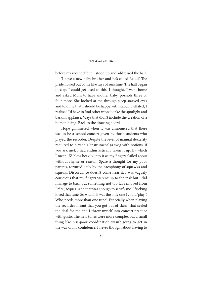before my recent debut. I stood up and addressed the hall.

'I have a new baby brother and he's called Raoul.' The pride flowed out of me like rays of sunshine. The hall began to clap. I could get used to this, I thought. I went home and asked Mum to have another baby, possibly three or four more. She looked at me through sleep-starved eyes and told me that I should be happy with Raoul. Deflated, I realised I'd have to find other ways to take the spotlight and bask in applause. Ways that didn't include the creation of a human being. Back to the drawing board.

 Hope glimmered when it was announced that there was to be a school concert given by those students who played the recorder. Despite the level of manual dexterity required to play this 'instrument' (a twig with notions, if you ask me), I had enthusiastically taken it up. By which I mean, I'd blow heavily into it as my fingers flailed about without rhyme or reason. Spare a thought for my poor parents, tortured daily by the cacophony of squawks and squeals. Discordance doesn't come near it. I was vaguely conscious that my fingers weren't up to the task but I did manage to bash out something not too far removed from Frère Jacques. And that was enough to satisfy me. I fricking loved that tune. So what if it was the only one I could 'play'? Who needs more than one tune? Especially when playing the recorder meant that you got out of class. That sealed the deal for me and I threw myself into concert practice with gusto. The new tunes were more complex but a small thing like piss-poor coordination wasn't going to get in the way of my confidence. I never thought about having to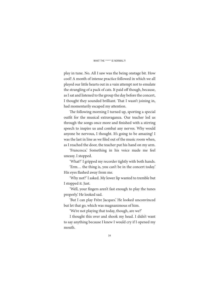play in tune. No. All I saw was the being onstage bit. How cool! A month of intense practice followed in which we all played our little hearts out in a vain attempt not to emulate the strangling of a pack of cats. It paid off though, because, as I sat and listened to the group the day before the concert, I thought they sounded brilliant. That I wasn't joining in, had momentarily escaped my attention.

The following morning I turned up, sporting a special outfit for the musical extravaganza. Our teacher led us through the songs once more and finished with a stirring speech to inspire us and combat any nerves. Why would anyone be nervous, I thought. It's going to be amazing! I was the last in line as we filed out of the music room when, as I reached the door, the teacher put his hand on my arm.

 'Francesca.' Something in his voice made me feel uneasy. I stopped.

'What?' I gripped my recorder tightly with both hands.

 'Erm… the thing is, you can't be in the concert today.' His eyes flashed away from me.

 'Why not?' I asked. My lower lip wanted to tremble but I stopped it. Just.

'Well, your fingers aren't fast enough to play the tunes properly.' He looked sad.

 'But I can play Frère Jacques.' He looked unconvinced but let that go, which was magnanimous of him.

'We're not playing that today, though, are we?'

 I thought this over and shook my head. I didn't want to say anything because I knew I would cry if I opened my mouth.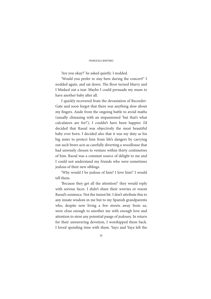'Are you okay?' he asked quietly. I nodded.

 'Would you prefer to stay here during the concert?' I nodded again, and sat down. The floor turned blurry and I blinked out a tear. Maybe I could persuade my mum to have another baby after all.

 I quickly recovered from the devastation of Recorder-Gate and soon forgot that there was anything slow about my fingers. Aside from the ongoing battle to avoid maths (usually climaxing with an impassioned 'but that's what calculators are for!'), I couldn't have been happier. I'd decided that Raoul was objectively the most beautiful baby ever born. I decided also that it was my duty as his big sister to protect him from life's dangers by carrying out such brave acts as carefully diverting a woodlouse that had unwisely chosen to venture within thirty centimetres of him. Raoul was a constant source of delight to me and I could not understand my friends who were sometimes jealous of their new siblings.

 'Why would I be jealous of him? I love him!' I would tell them.

 'Because they get all the attention!' they would reply with serious faces. I didn't share their worries or resent Raoul's existence. Not the tiniest bit. I don't attribute this to any innate wisdom in me but to my Spanish grandparents who, despite now living a few streets away from us, were close enough to smother me with enough love and attention to stem any potential pangs of jealousy. In return for their unwavering devotion, I worshipped them back. I loved spending time with them. Yayo and Yaya left the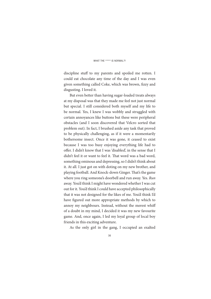discipline stuff to my parents and spoiled me rotten. I could eat chocolate any time of the day and I was even given something called Coke, which was brown, fizzy and disgusting. I loved it.

 But even better than having sugar-loaded treats always at my disposal was that they made me feel not just normal but special. I still considered both myself and my life to be normal. Yes, I knew I was wobbly and struggled with certain annoyances like buttons but these were peripheral obstacles (and I soon discovered that Velcro sorted that problem out). In fact, I brushed aside any task that proved to be physically challenging, as if it were a momentarily bothersome insect. Once it was gone, it ceased to exist because I was too busy enjoying everything life had to offer. I didn't know that I was 'disabled', in the sense that I didn't feel it or want to feel it. That word was a bad word, something ominous and depressing, so I didn't think about it. At all. I just got on with doting on my new brother, and playing football. And Knock-down Ginger. That's the game where you ring someone's doorbell and run away. Yes. *Run* away. You'd think I might have wondered whether I was cut out for it. You'd think I could have accepted philosophically that it was not designed for the likes of me. You'd think I'd have figured out more appropriate methods by which to annoy my neighbours. Instead, without the merest whiff of a doubt in my mind, I decided it was my new favourite game. And, once again, I led my loyal group of local boy friends in this exciting adventure.

As the only girl in the gang, I occupied an exalted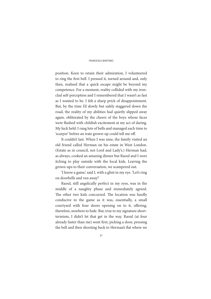position. Keen to retain their admiration, I volunteered to ring the first bell. I pressed it, turned around and, only then, realised that a quick escape might be beyond my competence. For a moment, reality collided with my ironclad self-perception and I remembered that I wasn't as fast as I wanted to be. I felt a sharp prick of disappointment. But, by the time I'd slowly but safely staggered down the road, the reality of my abilities had quietly slipped away again, obliterated by the cheers of the boys whose faces were flushed with childish excitement at my act of daring. My luck held: I rang lots of bells and managed each time to 'scarper' before an irate grown-up could tell me off.

 It couldn't last. When I was nine, the family visited an old friend called Herman on his estate in West London. (Estate as in council, not Lord and Lady's.) Herman had, as always, cooked an amazing dinner but Raoul and I were itching to play outside with the local kids. Leaving the grown-ups to their conversation, we scampered out.

 'I know a game,' said I, with a glint in my eye. 'Let's ring on doorbells and run away!'

 Raoul, still angelically perfect in my eyes, was in the middle of a naughty phase and immediately agreed. The other two kids concurred. The location was hardly conducive to the game as it was, essentially, a small courtyard with four doors opening on to it, offering, therefore, nowhere to hide. But, true to my signature shorttermism, I didn't let that get in the way. Raoul (at four already faster than me) went first, picking a door, pressing the bell and then shooting back to Herman's flat where we